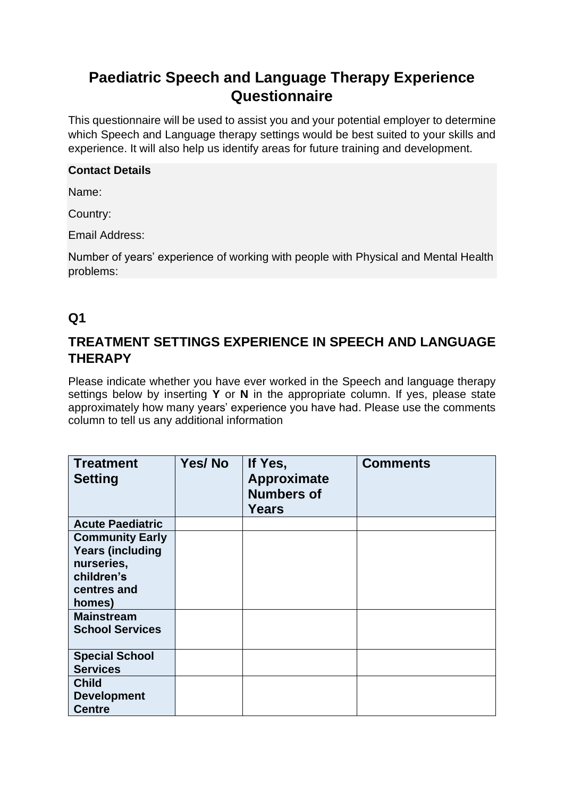# **Paediatric Speech and Language Therapy Experience Questionnaire**

This questionnaire will be used to assist you and your potential employer to determine which Speech and Language therapy settings would be best suited to your skills and experience. It will also help us identify areas for future training and development.

#### **Contact Details**

Name:

Country:

Email Address:

Number of years' experience of working with people with Physical and Mental Health problems:

#### **Q1**

#### **TREATMENT SETTINGS EXPERIENCE IN SPEECH AND LANGUAGE THERAPY**

Please indicate whether you have ever worked in the Speech and language therapy settings below by inserting **Y** or **N** in the appropriate column. If yes, please state approximately how many years' experience you have had. Please use the comments column to tell us any additional information

| <b>Treatment</b><br><b>Setting</b>                                                                                                                    | Yes/No | If Yes,<br>Approximate<br><b>Numbers of</b><br><b>Years</b> | <b>Comments</b> |
|-------------------------------------------------------------------------------------------------------------------------------------------------------|--------|-------------------------------------------------------------|-----------------|
| <b>Acute Paediatric</b>                                                                                                                               |        |                                                             |                 |
| <b>Community Early</b><br><b>Years (including</b><br>nurseries,<br>children's<br>centres and<br>homes)<br><b>Mainstream</b><br><b>School Services</b> |        |                                                             |                 |
|                                                                                                                                                       |        |                                                             |                 |
| <b>Special School</b><br><b>Services</b>                                                                                                              |        |                                                             |                 |
| <b>Child</b><br><b>Development</b><br><b>Centre</b>                                                                                                   |        |                                                             |                 |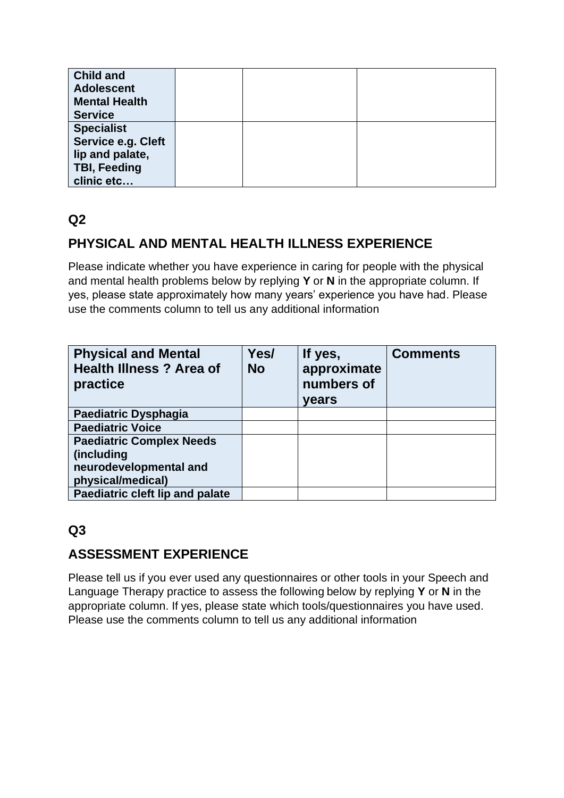| <b>Child and</b>     |  |  |
|----------------------|--|--|
| <b>Adolescent</b>    |  |  |
| <b>Mental Health</b> |  |  |
| <b>Service</b>       |  |  |
| <b>Specialist</b>    |  |  |
| Service e.g. Cleft   |  |  |
| lip and palate,      |  |  |
| <b>TBI, Feeding</b>  |  |  |
| clinic etc           |  |  |

## **Q2**

## **PHYSICAL AND MENTAL HEALTH ILLNESS EXPERIENCE**

Please indicate whether you have experience in caring for people with the physical and mental health problems below by replying **Y** or **N** in the appropriate column. If yes, please state approximately how many years' experience you have had. Please use the comments column to tell us any additional information

| <b>Physical and Mental</b><br><b>Health Illness ? Area of</b><br>practice | Yes/<br><b>No</b> | If yes,<br>approximate<br>numbers of<br>years | <b>Comments</b> |
|---------------------------------------------------------------------------|-------------------|-----------------------------------------------|-----------------|
| Paediatric Dysphagia                                                      |                   |                                               |                 |
| <b>Paediatric Voice</b>                                                   |                   |                                               |                 |
| <b>Paediatric Complex Needs</b>                                           |                   |                                               |                 |
| (including                                                                |                   |                                               |                 |
| neurodevelopmental and                                                    |                   |                                               |                 |
| physical/medical)                                                         |                   |                                               |                 |
| Paediatric cleft lip and palate                                           |                   |                                               |                 |

# **Q3**

#### **ASSESSMENT EXPERIENCE**

Please tell us if you ever used any questionnaires or other tools in your Speech and Language Therapy practice to assess the following below by replying **Y** or **N** in the appropriate column. If yes, please state which tools/questionnaires you have used. Please use the comments column to tell us any additional information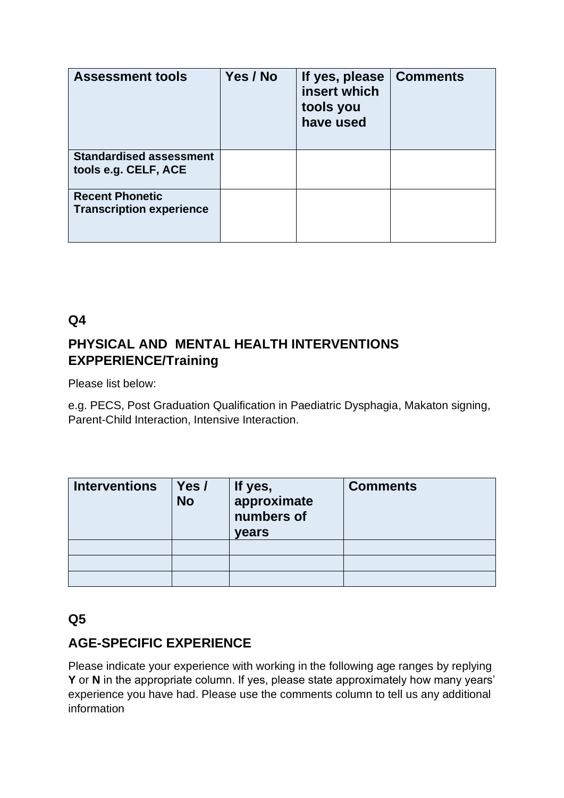| <b>Assessment tools</b>                                   | Yes / No | If yes, please<br>insert which<br>tools you<br>have used | ∣ Comments |
|-----------------------------------------------------------|----------|----------------------------------------------------------|------------|
| <b>Standardised assessment</b><br>tools e.g. CELF, ACE    |          |                                                          |            |
| <b>Recent Phonetic</b><br><b>Transcription experience</b> |          |                                                          |            |

### **Q4**

## **PHYSICAL AND MENTAL HEALTH INTERVENTIONS EXPPERIENCE/Training**

Please list below:

e.g. PECS, Post Graduation Qualification in Paediatric Dysphagia, Makaton signing, Parent-Child Interaction, Intensive Interaction.

| <b>Interventions</b> | Yes /<br><b>No</b> | If yes,<br>approximate<br>numbers of<br><b>years</b> | <b>Comments</b> |
|----------------------|--------------------|------------------------------------------------------|-----------------|
|                      |                    |                                                      |                 |
|                      |                    |                                                      |                 |
|                      |                    |                                                      |                 |

#### **Q5**

### **AGE-SPECIFIC EXPERIENCE**

Please indicate your experience with working in the following age ranges by replying **Y** or **N** in the appropriate column. If yes, please state approximately how many years' experience you have had. Please use the comments column to tell us any additional information